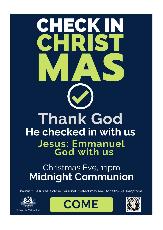

# Christmas Eve, 11pm **Midnight Communion**

Warning: Jesus as a close personal contact may lead to faith-like symptoms





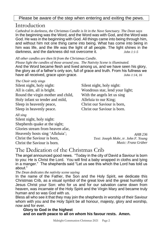#### Please be aware of the step when entering and exiting the pews.

### Introduction

*Cathedral in darkness, the Christmas Candle is lit in the Nave Sanctuary. The Dean says* In the beginning was the Word, and the Word was with God, and the Word was God. He was in the beginning with God. All things came into being through him, and without him not one thing came into being. What has come into being in him was life, and the life was the light of all people. The light shines in the darkness, and the darkness did not overcome it. *John 1:1-5*

*All other candles are then lit from the Christmas Candle.* 

*Please light the candles of those around you. The Nativity Scene is illuminated.* And the Word became flesh and lived among us, and we have seen his glory, the glory as of a father's only son, full of grace and truth. From his fullness we have all received, grace upon grace. *John 1:14, 16*

#### *The Choir only sings*

Silent night, holy night: All is calm, all is bright. Round the virgin mother and child, Holy infant so tender and mild, Sleep in heavenly peace, Sleep in heavenly peace.

#### *All sing*

Silent night, holy night: Shepherds quake at the sight; Glories stream from heaven afar, Heavenly hosts sing 'Alleluia'; Christ the Saviour is born, Christ the Saviour is born.

Silent night, holy night: Wondrous star, lend your light; With the angels let us sing Alleluia to our King; Christ our Saviour is born, Christ our Saviour is born.

> *AHB 236 Text: Joseph Mohr, tr. John F. Young Music: Franz Grüber*

### The Dedication of the Christmas Crib

The angel announced good news. "Today in the city of David a Saviour is born to you: He is Christ the Lord. You will find a baby wrapped in cloths and lying in a manger." The shepherds said "Let us see this which the Lord has told us about."

*The Dean dedicates the nativity scene saying*

In the name of the Father, the Son and the Holy Spirit, we dedicate this Christmas Crib, as a visual symbol of the great love and the great humility of Jesus Christ your Son: who for us and for our salvation came down from heaven, was incarnate of the Holy Spirit and the Virgin Mary and became truly human and so was God with us.

Bless all who see it that they may join the shepherds in worship of their Saviour whom with you and the Holy Spirit be all honour, majesty, glory and worship, now and for ever.

**Glory to God in the highest and on earth peace to all on whom his favour rests. Amen.**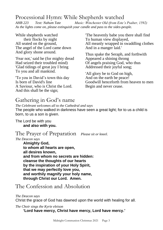### Processional Hymn: While Shepherds watched

*AHB 223 Text: Nahum Tate Music: Winchester Old (from Este's Psalter, 1592) As the lights come on, please extinguish your candle and pass to the sides-people.*

While shepherds watched their flocks by night All seated on the ground, The angel of the Lord came down And glory shone around.

'Fear not,' said he (for mighty dread Had seized their troubled mind) 'Glad tidings of great joy I bring To you and all mankind.

'To you in David's town this day Is born of David's line A Saviour, who is Christ the Lord. And this shall be the sign;

'The heavenly babe you there shall find To human view displayed, All meanly wrapped in swaddling clothes And in a manger laid.'

Thus spake the Seraph, and forthwith Appeared a shining throng Of angels praising God, who thus Addressed their joyful song;

'All glory be to God on high, And on the earth be peace! Goodwill henceforth from heaven to men Begin and never cease.

### Gathering in God's name

*The Celebrant welcomes all to the Cathedral and says* The people who walked in darkness have seen a great light; for to us a child is born, to us a son is given.

The Lord be with you **and also with you.**

### The Prayer of Preparation *Please sit or kneel.*

#### *The Deacon says*

**Almighty God, to whom all hearts are open, all desires known, and from whom no secrets are hidden: cleanse the thoughts of our hearts by the inspiration of your Holy Spirit, that we may perfectly love you, and worthily magnify your holy name, through Christ our Lord. Amen.**

# The Confession and Absolution

#### *The Deacon says*

Christ the grace of God has dawned upon the world with healing for all.

*The Choir sings the Kyrie eleison*

**'Lord have mercy, Christ have mercy, Lord have mercy.'**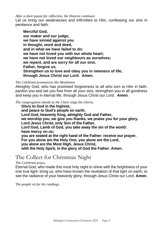*After a short pause for reflection, the Deacon continues*

Let us bring our weaknesses and infirmities to Him, confessing our sins in penitence and faith.

**Merciful God, our maker and our judge, we have sinned against you in thought, word and deed, and in what we have failed to do: we have not loved you with our whole heart; we have not loved our neighbours as ourselves; we repent, and are sorry for all our sins. Father, forgive us. Strengthen us to love and obey you in newness of life; through Jesus Christ our Lord. Amen.**

#### *The Celebrant pronounces the Absolution*

Almighty God, who has promised forgiveness to all who turn to Him in faith: pardon you and set you free from all your sins, strengthen you in all goodness and keep you in eternal life, through Jesus Christ our Lord. **Amen**.

*The congregation stands as the Choir sings the Gloria.*

**Glory to God in the highest, and peace to God's people on earth. Lord God, heavenly King, almighty God and Father, we worship you, we give you thanks, we praise you for your glory. Lord Jesus Christ, only Son of the Father, Lord God, Lamb of God, you take away the sin of the world: have mercy on us; you are seated at the right hand of the Father: receive our prayer. For you alone are the Holy One, you alone are the Lord, you alone are the Most High, Jesus Christ, with the Holy Spirit, in the glory of God the Father. Amen.**

### The Collect for Christmas Night

#### *The Celebrant prays,*

Eternal God, who made this most holy night to shine with the brightness of your one true light: bring us, who have known the revelation of that light on earth, to see the radiance of your heavenly glory; through Jesus Christ our Lord. **Amen**.

*The people sit for the readings.*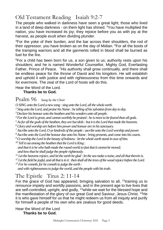# Old Testament Reading Isaiah 9:2-7

The people who walked in darkness have seen a great light; those who lived in a land of deep darkness - on them light has shined.  $3$ You have multiplied the nation, you have increased its joy; they rejoice before you as with joy at the harvest, as people exult when dividing plunder.

<sup>4</sup>For the yoke of their burden, and the bar across their shoulders, the rod of their oppressor, you have broken as on the day of Midian. <sup>5</sup>For all the boots of the tramping warriors and all the garments rolled in blood shall be burned as fuel for the fire.

<sup>6</sup>For a child has been born for us, a son given to us; authority rests upon his shoulders; and he is named Wonderful Counsellor, Mighty God, Everlasting Father, Prince of Peace. <sup>7</sup>His authority shall grow continually, and there shall be endless peace for the throne of David and his kingdom. He will establish and uphold it with justice and with righteousness from this time onwards and for evermore. The zeal of the Lord of hosts will do this.

Hear the Word of the Lord.

#### **Thanks be to God.**

Psalm 96 *Sung by the Choir*

*O SING unto the Lord a new song : sing unto the Lord, all the whole earth.*

*<sup>2</sup> Sing unto the Lord, and praise his Name : be telling of his salvation from day to day.* 

*<sup>3</sup>Declare his honour unto the heathen and his wonders unto all people.* 

*<sup>4</sup>For the Lord is great, and cannot worthily be praised : he is more to be feared than all gods.* 

*<sup>5</sup>As for all the gods of the heathen, they are but idols : but it is the Lord that made the heavens.* 

*<sup>6</sup> Glory and worship are before him power and honour are in his sanctuary.* 

*<sup>7</sup>Ascribe unto the Lord, O ye kindreds of the people : ascribe unto the Lord worship and power.* 

*<sup>8</sup>Ascribe unto the Lord the honour due unto his Name : bring presents, and come into his courts.* 

*<sup>9</sup> O worship the Lord in the beauty of holiness : let the whole earth stand in awe of him.* 

*<sup>10</sup> Tell it out among the heathen that the Lord is King :* 

 *and that it is he who hath made the round world so fast that it cannot be moved; and how that he shall judge the people righteously.* 

*<sup>11</sup> Let the heavens rejoice, and let the earth be glad : let the sea make a noise, and all that therein is.* 

*<sup>12</sup> Let the field be joyful, and all that is in it : then shall all the trees of the wood rejoice before the Lord.* 

*<sup>13</sup>For he cometh, for he cometh to judge the earth :* 

 *and with righteousness to judge the world, and the people with his truth.*

### The Epistle Titus 2: 11-14

For the grace of God has appeared, bringing salvation to all, <sup>12</sup>training us to renounce impiety and worldly passions, and in the present age to live lives that are self-controlled, upright, and godly, <sup>13</sup>while we wait for the blessed hope and the manifestation of the glory of our great God and Saviour, Jesus Christ. <sup>14</sup>He it is who gave himself for us that he might redeem us from all iniquity and purify for himself a people of his own who are zealous for good deeds.

Hear the Word of the Lord **Thanks be to God.**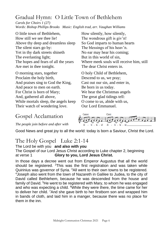# Gradual Hymn: O Little Town of Bethlehem

*Carols for Choirs 1 (27) Words: Bishop Phillips Brooks Music: English trad, arr. Vaughan Williams*

O little town of Bethlehem, How still we see thee lie! Above thy deep and dreamless sleep The silent stars go by: Yet in thy dark streets shineth The everlasting light; The hopes and fears of all the years Are met in thee tonight.

O morning stars, together Proclaim the holy birth, And praises sing to God the King, And peace to men on earth. For Christ is born of Mary; And, gathered all above, While mortals sleep, the angels keep Their watch of wondering love.

How silently, how silently, The wondrous gift is giv'n! So God imparts to human hearts The blessings of his heav'n. No ear may hear his coming; But in this world of sin, Where meek souls will receive him, still The dear Christ enters in.

O holy Child of Bethlehem, Descend to us, we pray; Cast out our sin, and enter in, Be born in us today. We hear the Christmas angels The great glad tidings tell: O come to us, abide with us, Our Lord Emmanuel.

### Gospel Acclamation

*The people join before and after with*



Good News and great joy to all the world: today is born a Saviour, Christ the Lord.

# The Holy Gospel Luke 2:1-14

#### The Lord be with you **and also with you**

The Gospel of our Lord Jesus Christ according to Luke chapter 2, beginning at verse 1 **Glory to you, Lord Jesus Christ.**

In those days a decree went out from Emperor Augustus that all the world should be registered. <sup>2</sup>This was the first registration and was taken while Quirinius was governor of Syria. <sup>3</sup>All went to their own towns to be registered. <sup>4</sup> Joseph also went from the town of Nazareth in Galilee to Judea, to the city of David called Bethlehem, because he was descended from the house and family of David. <sup>5</sup>He went to be registered with Mary, to whom he was engaged and who was expecting a child.  $6$ While they were there, the time came for her to deliver her child. <sup>7</sup>And she gave birth to her firstborn son and wrapped him in bands of cloth, and laid him in a manger, because there was no place for them in the inn.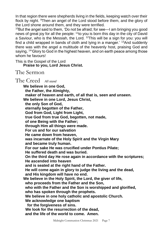In that region there were shepherds living in the fields, keeping watch over their flock by night. <sup>9</sup>Then an angel of the Lord stood before them, and the glory of the Lord shone around them, and they were terrified.

<sup>10</sup>But the angel said to them, 'Do not be afraid; for see—I am bringing you good news of great joy for all the people: <sup>11</sup>to you is born this day in the city of David a Saviour, who is the Messiah, the Lord. <sup>12</sup>This will be a sign for you: you will find a child wrapped in bands of cloth and lying in a manger.' <sup>13</sup>And suddenly there was with the angel a multitude of the heavenly host, praising God and saying, <sup>14</sup>'Glory to God in the highest heaven, and on earth peace among those whom he favours!

This is the Gospel of the Lord

**Praise to you, Lord Jesus Christ.**

The Sermon

The Creed *All stand*

**We believe in one God, the Father, the Almighty, maker of heaven and earth, of all that is, seen and unseen. We believe in one Lord, Jesus Christ, the only Son of God, eternally begotten of the Father, God from God, Light from Light, true God from true God, begotten, not made, of one Being with the Father; through Him all things were made. For us and for our salvation He came down from heaven, was incarnate of the Holy Spirit and the Virgin Mary and became truly human. For our sake He was crucified under Pontius Pilate; He suffered death and was buried. On the third day He rose again in accordance with the scriptures; He ascended into heaven and is seated at the right hand of the Father. He will come again in glory to judge the living and the dead, and His kingdom will have no end. We believe in the Holy Spirit, the Lord, the giver of life, who proceeds from the Father and the Son, who with the Father and the Son is worshipped and glorified, who has spoken through the prophets. We believe in one holy catholic and apostolic Church. We acknowledge one baptism for the forgiveness of sins. We look for the resurrection of the dead, and the life of the world to come. Amen.**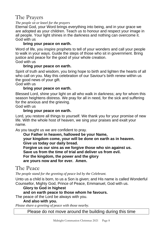# The Prayers

#### *The people sit or kneel for the prayers*

Eternal God, your Word brings everything into being, and in your grace we are adopted as your children. Teach us to honour and respect your image in all people. Your light shines in the darkness and nothing can overcome it. God with us

#### **bring your peace on earth.**

Word of life, you inspire prophets to tell of your wonders and call your people to walk in your ways. Guide the steps of those who sit in government. Bring justice and peace for the good of your whole creation.

### God with us

#### **bring your peace on earth.**

Spirit of truth and wisdom, you bring hope to birth and lighten the hearts of all who call on you. May this celebration of our Saviour's birth renew within us the good news of your gift.

God with us

#### **bring your peace on earth.**

Blessed Lord, shine your light on all who walk in darkness; any for whom this season heightens distress. We pray for all in need, for the sick and suffering for the anxious and the grieving.

God with us

#### **bring your peace on earth.**

Lord, you restore all things to yourself. We thank you for your promise of new life. With the whole host of heaven, we sing your praises and exalt your name.

As you taught us we are confident to pray.

#### **Our Father in heaven, hallowed be your Name, your kingdom come, your will be done on earth as in heaven. Give us today our daily bread.**

**Forgive us our sins as we forgive those who sin against us.**

**Save us from the time of trial and deliver us from evil.**

**For the kingdom, the power and the glory**

**are yours now and for ever. Amen.**

### The Peace

*The people stand for the greeting of peace led by the Celebrant.*

Unto us a child is born, to us a Son is given; and His name is called Wonderful Counsellor, Mighty God, Prince of Peace, Emmanuel, God with us.

#### **Glory to God in highest**

#### **and on earth peace to those whom he favours.**

The peace of the Lord be always with you.

#### **And also with you.**

*Please share a greeting of peace with those nearby.*

Please do not move around the building during this time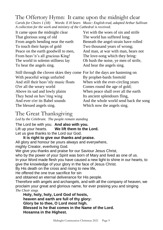# The Offertory Hymn: It came upon the midnight clear

*Carols for Choirs 1 (18) Words: E H Sears Music: English trad, adapted Arthur Sullivan A collection for the work and ministry of the Cathedral is received.*

It came upon the midnight clear That glorious song of old From angels bending near the earth To touch their harps of gold Peace on the earth goodwill to men, From heav'n's all gracious King! The world in solemn stillness lay To hear the angels sing.

Yet with the woes of sin and strife The world has suffered long; Beneath the angel-strain have rolled Two thousand years of wrong; And man, at war with man, hears not The love-song which they bring: Oh hush the noise, ye men of strife, And hear the angels sing.

Still through the cloven skies they come For lo! the days are hastening on With peaceful wings unfurled And still their heav'nly music floats O'er all the weary world Above its sad and lowly plains They bend on hov'ring wing And ever o'er its Babel sounds The blessed angels sing.

By prophet-bards foretold When with the ever-circling years Comes round the age of gold; When peace shall over all the earth Its ancient splendours fling, And the whole world send back the song Which now the angels sing.

# The Great Thanksgiving

*Led by the Celebrant. The people remain standing*

The Lord be with you. **And also with you.** Lift up your hearts. **We lift them to the Lord.** Let us give thanks to the Lord our God.

**It is right to give our thanks and praise.** All glory and honour be yours always and everywhere, mighty Creator, everliving God.

We give you thanks and praise for our Saviour Jesus Christ,

who by the power of your Spirit was born of Mary and lived as one of us.

In your Word made flesh you have caused a new light to shine in our hearts, to give the knowledge of your glory in the face of Jesus Christ.

By His death on the cross and rising to new life,

He offered the one true sacrifice for sin

and obtained an eternal deliverance for His people.

Therefore with angels and archangels, and with all the company of heaven, we proclaim your great and glorious name, for ever praising you and singing *The Choir sings*

**Holy, holy, holy, Lord God of hosts, heaven and earth are full of thy glory: Glory be to thee, O Lord most high. Blessed is he that comes in the Name of the Lord. Hosanna in the Highest.**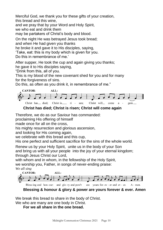Merciful God, we thank you for these gifts of your creation,

this bread and this wine,

and we pray that by your Word and Holy Spirit,

we who eat and drink them

may be partakers of Christ's body and blood.

On the night He was betrayed Jesus took bread;

and when He had given you thanks

he broke it and gave it to His disciples, saying,

'Take, eat: this is my body which is given for you.

Do this in remembrance of me.'

After supper, He took the cup and again giving you thanks;

he gave it to His disciples saying,

"Drink from this, all of you.

This is my blood of the new covenant shed for you and for many for the forgiveness of sins.

Do this, as often as you drink it, in remembrance of me."



**Christ has died; Christ is risen; Christ will come again**

Therefore, we do as our Saviour has commanded:

proclaiming His offering of himself

made once for all on the cross,

his mighty resurrection and glorious ascension,

and looking for His coming again,

we celebrate with this bread and this cup,

His one perfect and sufficient sacrifice for the sins of the whole world.

Renew us by your Holy Spirit, unite us in the body of your Son and bring us with all your people into the joy of your eternal kingdom; through Jesus Christ our Lord,

with whom and in whom, in the fellowship of the Holy Spirit,

we worship you, Father, in songs of never-ending praise: *We all sing*



**Blessing & honour & glory & power are yours forever & ever. Amen**

We break this bread to share in the body of Christ.

We who are many are one body in Christ.

**For we all share in the one bread.**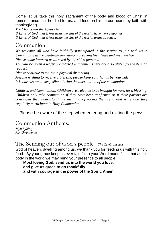Come let us take this holy sacrament of the body and blood of Christ in remembrance that he died for us, and feed on him in our hearts by faith with thanksgiving.

*The Choir sings the Agnus Dei: O Lamb of God, that takest away the sins of the world, have mercy upon us. O Lamb of God, that takest away the sins of the world, grant us peace.*

### Communion

We welcome all who have faithfully participated in the service to join with us in *Communion as we celebrate our Saviour's saving life, death and resurrection.*

*Please come forward as directed by the sides-persons.*

*You will be given a wafer pre infused with wine. There are also gluten free wafers on request.*

*Please continue to maintain physical distancing.*

*Anyone wishing to receive a blessing please keep your hands by your side. It is our custom to keep silent during the distribution of the communion.*

*Children and Communion: Children are welcome to be brought forward for a blessing. Children only take communion if they have been confirmed or if their parents are convinced they understand the meaning of taking the bread and wine and they regularly participate in Holy Communion.*

#### Please be aware of the step when entering and exiting the pews

### Communion Anthems:

*Myn Lyking Sir Christemas*

The Sending out of God's people *The Celebrant says*

God of heaven, dwelling among us, we thank you for feeding us with this holy food. By your grace keep us ever faithful to your Word made flesh that as his body in the world we may bring your presence to all people.

**Most loving God, send us into the world you love, and give us grace to go thankfully and with courage in the power of the Spirit. Amen.**